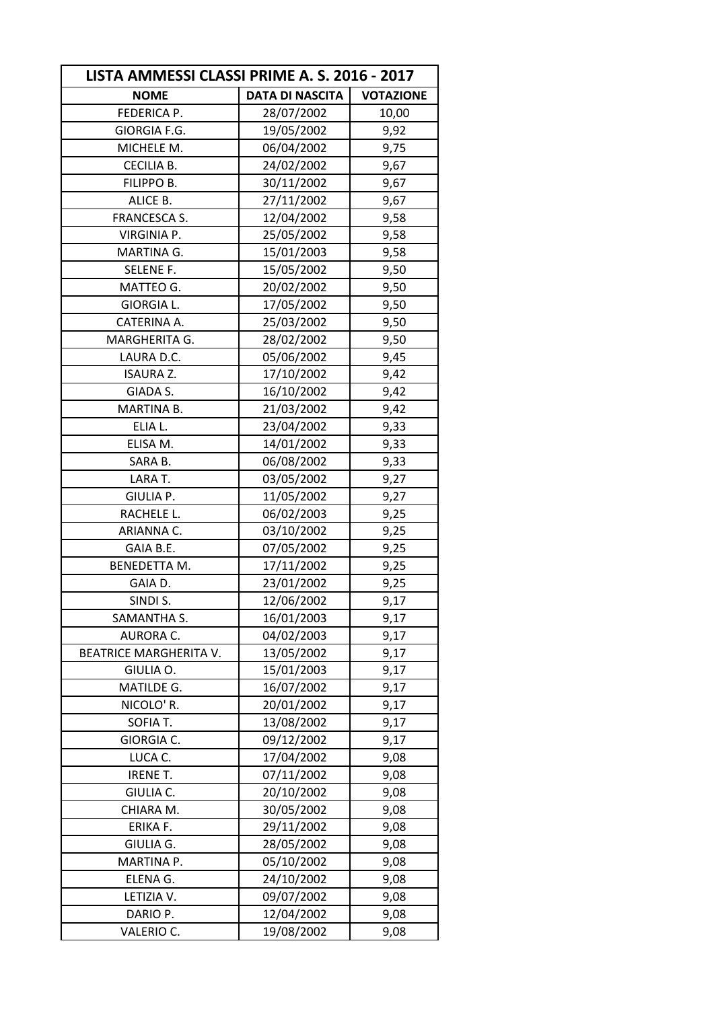| LISTA AMMESSI CLASSI PRIME A. S. 2016 - 2017 |                        |                  |
|----------------------------------------------|------------------------|------------------|
| <b>NOME</b>                                  | <b>DATA DI NASCITA</b> | <b>VOTAZIONE</b> |
| FEDERICA P.                                  | 28/07/2002             | 10,00            |
| GIORGIA F.G.                                 | 19/05/2002             | 9,92             |
| MICHELE M.                                   | 06/04/2002             | 9,75             |
| CECILIA B.                                   | 24/02/2002             | 9,67             |
| FILIPPO B.                                   | 30/11/2002             | 9,67             |
| ALICE B.                                     | 27/11/2002             | 9,67             |
| <b>FRANCESCA S.</b>                          | 12/04/2002             | 9,58             |
| <b>VIRGINIA P.</b>                           | 25/05/2002             | 9,58             |
| MARTINA G.                                   | 15/01/2003             | 9,58             |
| SELENE F.                                    | 15/05/2002             | 9,50             |
| MATTEO G.                                    | 20/02/2002             | 9,50             |
| <b>GIORGIA L.</b>                            | 17/05/2002             | 9,50             |
| CATERINA A.                                  | 25/03/2002             | 9,50             |
| MARGHERITA G.                                | 28/02/2002             | 9,50             |
| LAURA D.C.                                   | 05/06/2002             | 9,45             |
| <b>ISAURA Z.</b>                             | 17/10/2002             | 9,42             |
| GIADA S.                                     | 16/10/2002             | 9,42             |
| MARTINA B.                                   | 21/03/2002             | 9,42             |
| ELIA L.                                      | 23/04/2002             | 9,33             |
| ELISA M.                                     | 14/01/2002             | 9,33             |
| SARA B.                                      | 06/08/2002             | 9,33             |
| LARA T.                                      | 03/05/2002             | 9,27             |
| GIULIA P.                                    | 11/05/2002             | 9,27             |
| RACHELE L.                                   | 06/02/2003             | 9,25             |
| ARIANNA C.                                   | 03/10/2002             | 9,25             |
| GAIA B.E.                                    | 07/05/2002             | 9,25             |
| <b>BENEDETTA M.</b>                          | 17/11/2002             | 9,25             |
| GAIA D.                                      | 23/01/2002             | 9,25             |
| SINDI S.                                     | 12/06/2002             | 9,17             |
| SAMANTHA S.                                  | 16/01/2003             | 9,17             |
| AURORA C.                                    | 04/02/2003             | 9,17             |
| <b>BEATRICE MARGHERITA V.</b>                | 13/05/2002             | 9,17             |
| GIULIA O.                                    | 15/01/2003             | 9,17             |
| MATILDE G.                                   | 16/07/2002             | 9,17             |
| NICOLO' R.                                   | 20/01/2002             | 9,17             |
| SOFIA T.                                     | 13/08/2002             | 9,17             |
| GIORGIA C.                                   | 09/12/2002             | 9,17             |
| LUCA C.                                      | 17/04/2002             | 9,08             |
| <b>IRENE T.</b>                              | 07/11/2002             | 9,08             |
| GIULIA C.                                    | 20/10/2002             | 9,08             |
| CHIARA M.                                    | 30/05/2002             | 9,08             |
| ERIKA F.                                     | 29/11/2002             | 9,08             |
| GIULIA G.                                    | 28/05/2002             | 9,08             |
| MARTINA P.                                   | 05/10/2002             | 9,08             |
| ELENA G.                                     | 24/10/2002             | 9,08             |
| LETIZIA V.                                   | 09/07/2002             | 9,08             |
| DARIO P.                                     | 12/04/2002             | 9,08             |
| VALERIO C.                                   | 19/08/2002             | 9,08             |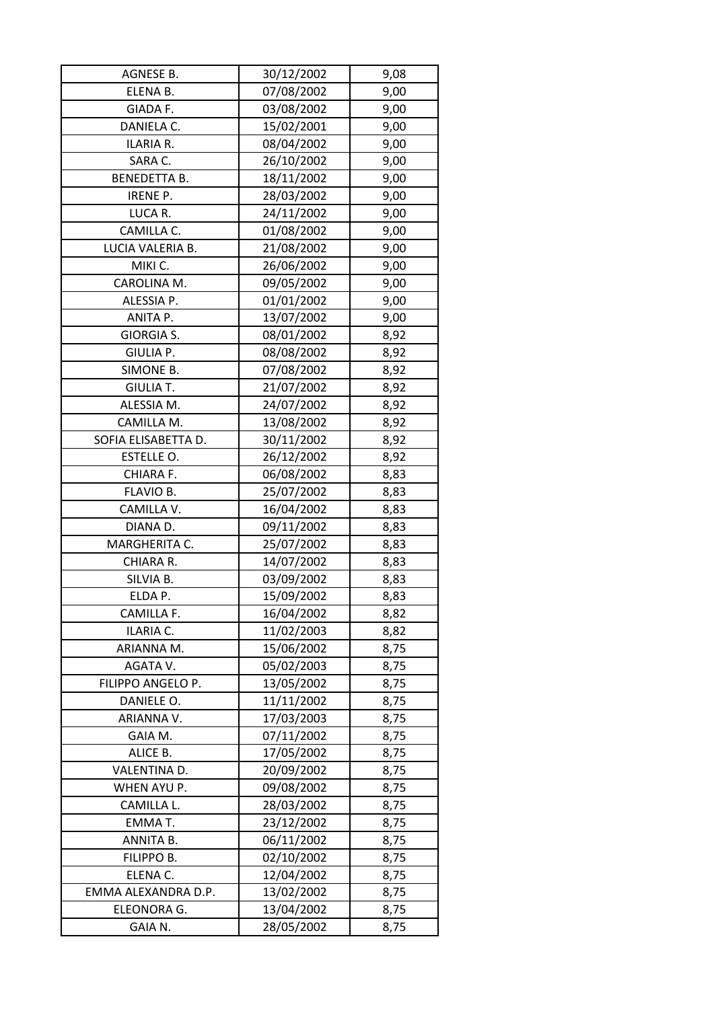| AGNESE B.           | 30/12/2002 | 9,08 |
|---------------------|------------|------|
| ELENA B.            | 07/08/2002 | 9,00 |
| GIADA F.            | 03/08/2002 | 9,00 |
| DANIELA C.          | 15/02/2001 | 9,00 |
| ILARIA R.           | 08/04/2002 | 9,00 |
| SARA C.             | 26/10/2002 | 9,00 |
| <b>BENEDETTA B.</b> | 18/11/2002 | 9,00 |
| IRENE P.            | 28/03/2002 | 9,00 |
| LUCA R.             | 24/11/2002 | 9,00 |
| CAMILLA C.          | 01/08/2002 | 9,00 |
| LUCIA VALERIA B.    | 21/08/2002 | 9,00 |
| MIKI C.             | 26/06/2002 | 9,00 |
| CAROLINA M.         | 09/05/2002 | 9,00 |
| ALESSIA P.          | 01/01/2002 | 9,00 |
| ANITA P.            | 13/07/2002 | 9,00 |
| <b>GIORGIA S.</b>   | 08/01/2002 | 8,92 |
| GIULIA P.           | 08/08/2002 | 8,92 |
| SIMONE B.           | 07/08/2002 | 8,92 |
| <b>GIULIA T.</b>    | 21/07/2002 | 8,92 |
| ALESSIA M.          | 24/07/2002 | 8,92 |
| CAMILLA M.          | 13/08/2002 | 8,92 |
| SOFIA ELISABETTA D. | 30/11/2002 | 8,92 |
| ESTELLE O.          | 26/12/2002 | 8,92 |
| CHIARA F.           | 06/08/2002 | 8,83 |
| FLAVIO B.           | 25/07/2002 | 8,83 |
| CAMILLA V.          | 16/04/2002 | 8,83 |
| DIANA D.            | 09/11/2002 | 8,83 |
| MARGHERITA C.       | 25/07/2002 | 8,83 |
| CHIARA R.           | 14/07/2002 | 8,83 |
| SILVIA B.           | 03/09/2002 | 8,83 |
| ELDA P.             | 15/09/2002 | 8,83 |
| CAMILLA F.          | 16/04/2002 | 8,82 |
| ILARIA C.           | 11/02/2003 | 8,82 |
| ARIANNA M.          | 15/06/2002 | 8,75 |
| AGATA V.            | 05/02/2003 | 8,75 |
| FILIPPO ANGELO P.   | 13/05/2002 | 8,75 |
| DANIELE O.          | 11/11/2002 | 8,75 |
| ARIANNA V.          | 17/03/2003 | 8,75 |
| GAIA M.             | 07/11/2002 | 8,75 |
| ALICE B.            | 17/05/2002 | 8,75 |
| VALENTINA D.        | 20/09/2002 | 8,75 |
| WHEN AYU P.         | 09/08/2002 | 8,75 |
| CAMILLA L.          | 28/03/2002 | 8,75 |
| EMMAT.              | 23/12/2002 | 8,75 |
| ANNITA B.           | 06/11/2002 | 8,75 |
| FILIPPO B.          | 02/10/2002 | 8,75 |
| ELENA C.            | 12/04/2002 | 8,75 |
| EMMA ALEXANDRA D.P. | 13/02/2002 | 8,75 |
| ELEONORA G.         | 13/04/2002 | 8,75 |
| GAIA N.             | 28/05/2002 | 8,75 |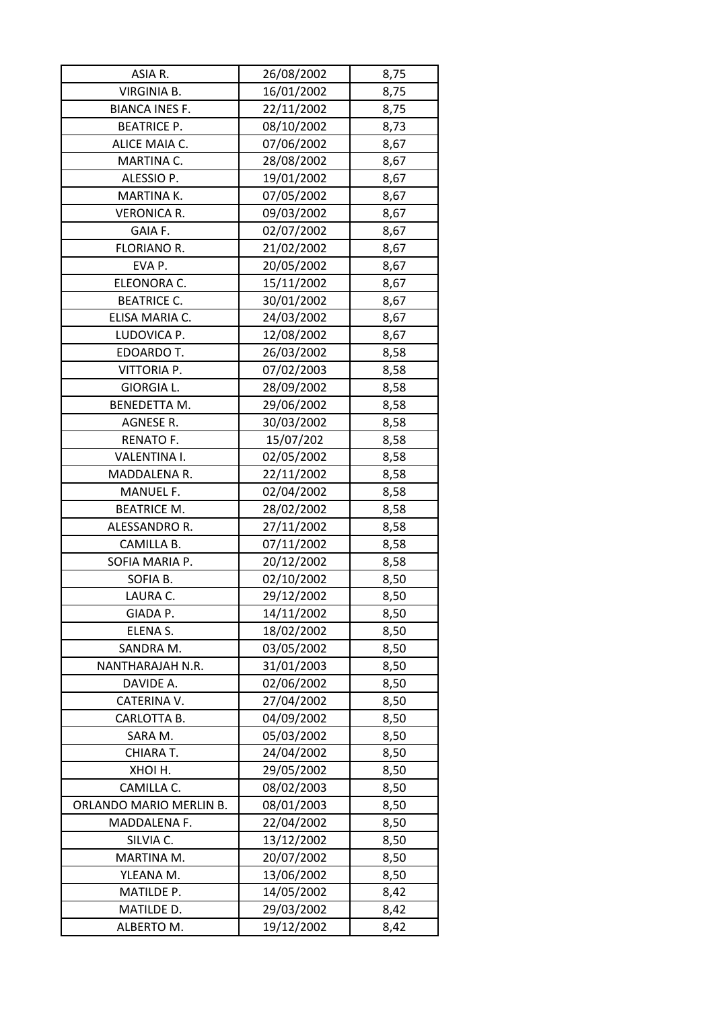| ASIA R.                 | 26/08/2002 | 8,75 |
|-------------------------|------------|------|
| VIRGINIA B.             | 16/01/2002 | 8,75 |
| <b>BIANCA INES F.</b>   | 22/11/2002 | 8,75 |
| <b>BEATRICE P.</b>      | 08/10/2002 | 8,73 |
| ALICE MAIA C.           | 07/06/2002 | 8,67 |
| MARTINA C.              | 28/08/2002 | 8,67 |
| ALESSIO P.              | 19/01/2002 | 8,67 |
| MARTINA K.              | 07/05/2002 | 8,67 |
| <b>VERONICA R.</b>      | 09/03/2002 | 8,67 |
| GAIA F.                 | 02/07/2002 | 8,67 |
| FLORIANO R.             | 21/02/2002 | 8,67 |
| EVA P.                  | 20/05/2002 | 8,67 |
| ELEONORA C.             | 15/11/2002 | 8,67 |
| <b>BEATRICE C.</b>      | 30/01/2002 | 8,67 |
| ELISA MARIA C.          | 24/03/2002 | 8,67 |
| LUDOVICA P.             | 12/08/2002 | 8,67 |
| EDOARDO T.              | 26/03/2002 | 8,58 |
| VITTORIA P.             | 07/02/2003 | 8,58 |
| <b>GIORGIA L.</b>       | 28/09/2002 | 8,58 |
| BENEDETTA M.            | 29/06/2002 | 8,58 |
| AGNESE R.               | 30/03/2002 | 8,58 |
| RENATO F.               | 15/07/202  | 8,58 |
| VALENTINA I.            | 02/05/2002 | 8,58 |
| MADDALENA R.            | 22/11/2002 | 8,58 |
| MANUEL F.               | 02/04/2002 | 8,58 |
| <b>BEATRICE M.</b>      | 28/02/2002 | 8,58 |
| ALESSANDRO R.           | 27/11/2002 | 8,58 |
| CAMILLA B.              | 07/11/2002 | 8,58 |
| SOFIA MARIA P.          | 20/12/2002 | 8,58 |
| SOFIA B.                | 02/10/2002 | 8,50 |
| LAURA C.                | 29/12/2002 | 8,50 |
| GIADA P.                | 14/11/2002 | 8,50 |
| ELENA S.                | 18/02/2002 | 8,50 |
| SANDRA M.               | 03/05/2002 | 8,50 |
| NANTHARAJAH N.R.        | 31/01/2003 | 8,50 |
| DAVIDE A.               | 02/06/2002 | 8,50 |
| CATERINA V.             | 27/04/2002 | 8,50 |
| CARLOTTA B.             | 04/09/2002 | 8,50 |
| SARA M.                 | 05/03/2002 | 8,50 |
| CHIARA T.               | 24/04/2002 | 8,50 |
| XHOI H.                 | 29/05/2002 | 8,50 |
| CAMILLA C.              | 08/02/2003 | 8,50 |
| ORLANDO MARIO MERLIN B. | 08/01/2003 | 8,50 |
| MADDALENA F.            | 22/04/2002 | 8,50 |
| SILVIA C.               | 13/12/2002 | 8,50 |
| MARTINA M.              | 20/07/2002 | 8,50 |
| YLEANA M.               | 13/06/2002 | 8,50 |
| MATILDE P.              | 14/05/2002 | 8,42 |
| MATILDE D.              | 29/03/2002 | 8,42 |
| ALBERTO M.              | 19/12/2002 | 8,42 |